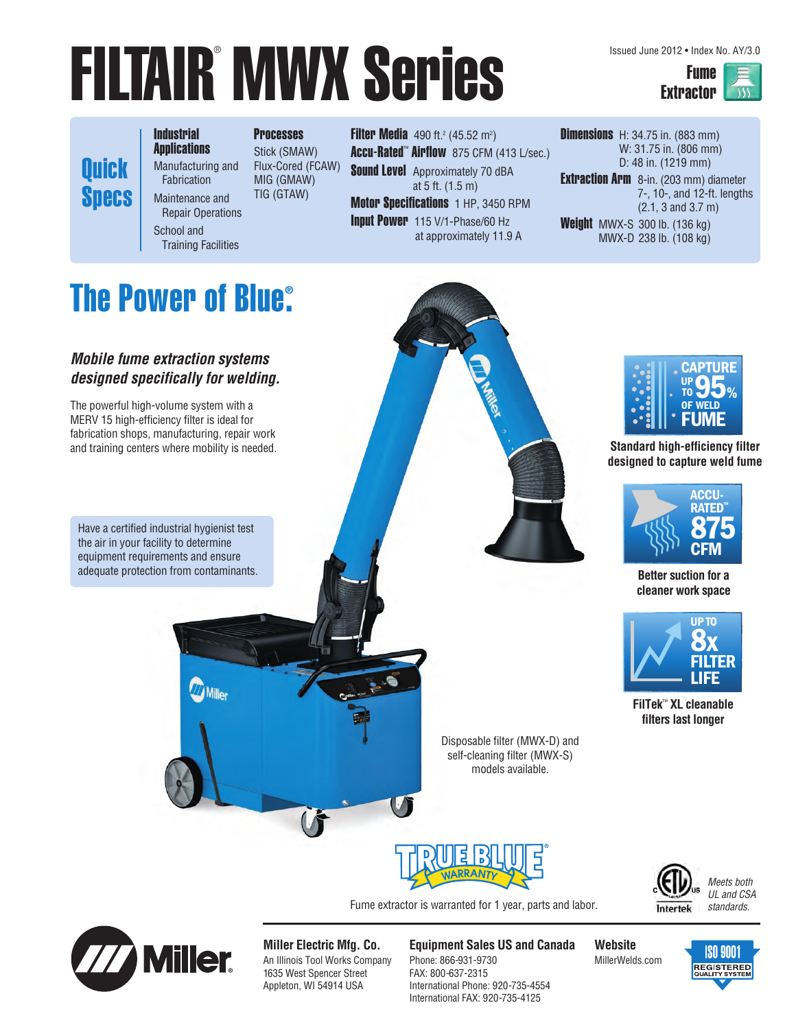# **FILTAIR MWX Series**

Issued June 2012 • Index No. AY/3.0



**Quick Specs**  **Industrial Applications** Manufacturing and

Fabrication Maintenance and Repair Operations

School and

Training Facilities

**Processes** Stick (SMAW) Flux-Cored (FCAW) MIG (GMAW) TIG (GTAW)

**Filter Media** 490 ft.<sup>2</sup> (45.52 m<sup>2</sup>) Accu-Rated™ Airflow 875 CFM (413 L/sec.) **Sound Level** Approximately 70 dBA at 5 ft. (1.5 m) **Motor Specifications** 1 HP, 3450 RPM

Input Power 115 V/1-Phase/60 Hz at approximately 11.9 A **Dimensions** H: 34.75 in. (883 mm) W: 31.75 in. (806 mm) D: 48 in. (1219 mm) Extraction Arm 8-in. (203 mm) diameter 7-, 10-, and 12-ft. lengths (2.1, 3 and 3.7 m) Weight MWX-S 300 lb. (136 kg) MWX-D 238 lb. (108 kg)

#### **The Power of Blue® .**

**Mobile fume extraction systems designed specifically for welding.**

The powerful high-volume system with a MERV 15 high-efficiency filter is ideal for fabrication shops, manufacturing, repair work and training centers where mobility is needed.

Have a certified industrial hygienist test the air in your facility to determine equipment requirements and ensure adequate protection from contaminants. **Better suction for a** 

**Milley** 



**Standard high-efficiency filter designed to capture weld fume**



**cleaner work space**



**FilTek**™ **XL cleanable filters last longer**

Disposable filter (MWX-D) and self-cleaning filter (MWX-S) models available.



Intertek

Meets both UL and CSA standards.

Fume extractor is warranted for 1 year, parts and labor.



**Miller Electric Mfg. Co.** An Illinois Tool Works Company 1635 West Spencer Street Appleton, WI 54914 USA

**Equipment Sales US and Canada** Phone: 866-931-9730 FAX: 800-637-2315 International Phone: 920-735-4554 International FAX: 920-735-4125

**Website** MillerWelds.com

**ISO 9001 REGISTERED**<br>QUALITY SYSTEM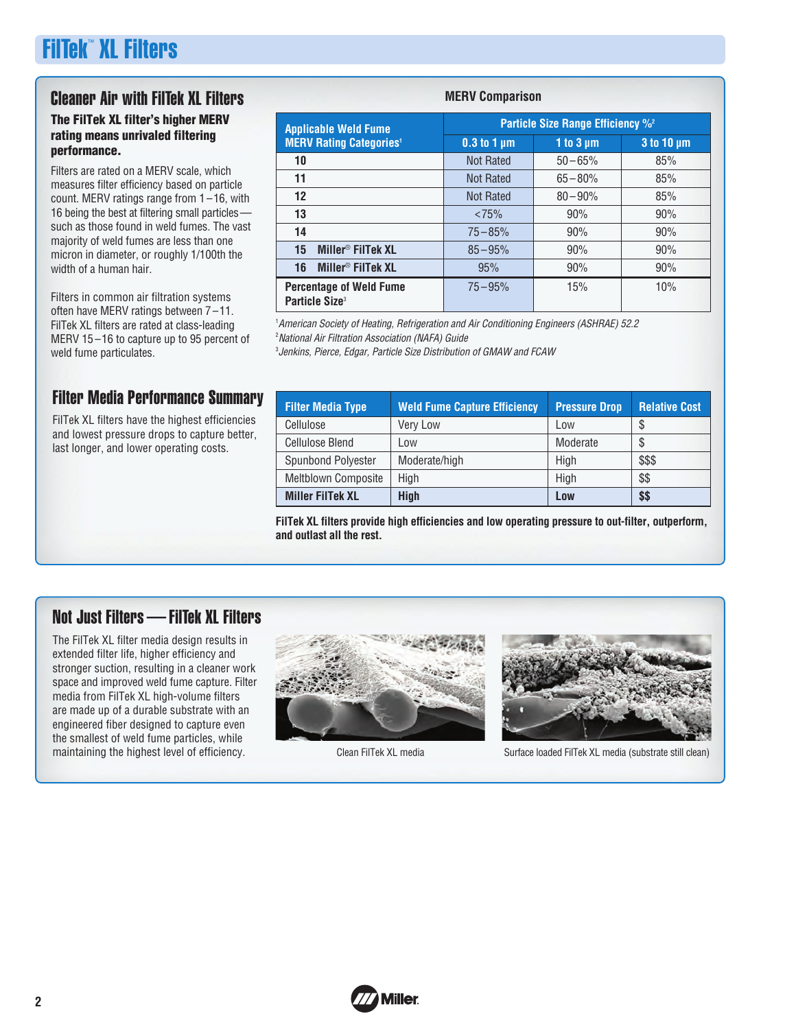## FilTek™ XL Filters

## Cleaner Air with FilTek XL Filters

#### **The FilTek XL filter's higher MERV rating means unrivaled filtering performance.**

Filters are rated on a MERV scale, which measures filter efficiency based on particle count. MERV ratings range from 1 –16, with 16 being the best at filtering small particles such as those found in weld fumes. The vast majority of weld fumes are less than one micron in diameter, or roughly 1/100th the width of a human hair.

Filters in common air filtration systems often have MERV ratings between 7 –11. FilTek XL filters are rated at class-leading MERV 15 –16 to capture up to 95 percent of weld fume particulates.

#### Filter Media Performance Summary

FilTek XL filters have the highest efficiencies and lowest pressure drops to capture better, last longer, and lower operating costs.

#### **MERV Comparison**

| <b>Applicable Weld Fume</b>                                  | Particle Size Range Efficiency % <sup>2</sup> |                |                   |  |
|--------------------------------------------------------------|-----------------------------------------------|----------------|-------------------|--|
| <b>MERV Rating Categories<sup>1</sup></b>                    | $0.3$ to 1 $\mu$ m                            | 1 to $3 \mu m$ | $3$ to 10 $\mu$ m |  |
| 10                                                           | <b>Not Rated</b>                              | $50 - 65%$     | 85%               |  |
| 11                                                           | <b>Not Rated</b>                              | $65 - 80%$     | 85%               |  |
| 12                                                           | <b>Not Rated</b>                              | $80 - 90\%$    | 85%               |  |
| 13                                                           | < 75%                                         | 90%            | 90%               |  |
| 14                                                           | $75 - 85%$                                    | 90%            | 90%               |  |
| Miller <sup>®</sup> FilTek XL<br>15                          | $85 - 95%$                                    | 90%            | 90%               |  |
| Miller <sup>®</sup> FilTek XL<br>16                          | 95%                                           | 90%            | 90%               |  |
| <b>Percentage of Weld Fume</b><br>Particle Size <sup>3</sup> | $75 - 95%$                                    | 15%            | 10%               |  |

<sup>1</sup> American Society of Heating, Refrigeration and Air Conditioning Engineers (ASHRAE) 52.2 <sup>2</sup> National Air Filtration Association (NAFA) Guide

3 Jenkins, Pierce, Edgar, Particle Size Distribution of GMAW and FCAW

| <b>Filter Media Type</b>   | <b>Weld Fume Capture Efficiency</b> | <b>Pressure Drop</b> | <b>Relative Cost</b> |
|----------------------------|-------------------------------------|----------------------|----------------------|
| Cellulose                  | <b>Very Low</b>                     | Low                  | S                    |
| <b>Cellulose Blend</b>     | Low                                 | Moderate             | S.                   |
| Spunbond Polyester         | Moderate/high                       | High                 | \$\$\$               |
| <b>Meltblown Composite</b> | High                                | High                 | \$\$                 |
| <b>Miller FilTek XL</b>    | <b>High</b>                         | Low                  | \$\$                 |

**FilTek XL filters provide high efficiencies and low operating pressure to out-filter, outperform, and outlast all the rest.**

### Not Just Filters — FilTek XL Filters

The FilTek XL filter media design results in extended filter life, higher efficiency and stronger suction, resulting in a cleaner work space and improved weld fume capture. Filter media from FilTek XL high-volume filters are made up of a durable substrate with an engineered fiber designed to capture even the smallest of weld fume particles, while<br>maintaining the highest level of efficiency.





Clean FilTek XL media **Surface loaded FilTek XL media (substrate still clean)** Surface loaded FilTek XL media (substrate still clean)

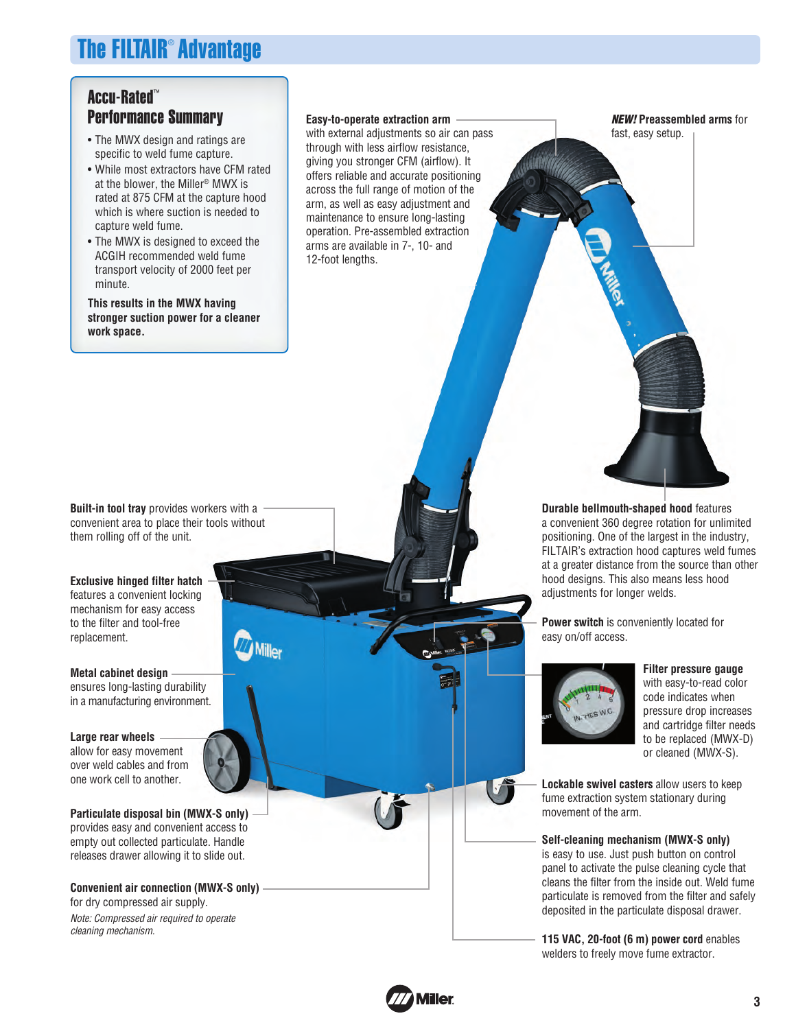## The FILTAIR® Advantage

#### Accu-Rated™ Performance Summary

- The MWX design and ratings are specific to weld fume capture.
- While most extractors have CFM rated at the blower, the Miller® MWX is rated at 875 CFM at the capture hood which is where suction is needed to capture weld fume.
- The MWX is designed to exceed the ACGIH recommended weld fume transport velocity of 2000 feet per minute.

**This results in the MWX having stronger suction power for a cleaner work space.**

**Easy-to-operate extraction arm**

with external adjustments so air can pass through with less airflow resistance, giving you stronger CFM (airflow). It offers reliable and accurate positioning across the full range of motion of the arm, as well as easy adjustment and maintenance to ensure long-lasting operation. Pre-assembled extraction arms are available in 7-, 10- and 12-foot lengths.

**NEW! Preassembled arms** for fast, easy setup.

**Built-in tool tray** provides workers with a convenient area to place their tools without them rolling off of the unit.

**Exclusive hinged filter hatch** features a convenient locking mechanism for easy access to the filter and tool-free replacement.

**Metal cabinet design** ensures long-lasting durability in a manufacturing environment.

#### **Large rear wheels**

allow for easy movement over weld cables and from<br>one work cell to another.

**Particulate disposal bin (MWX-S only)** provides easy and convenient access to empty out collected particulate. Handle releases drawer allowing it to slide out.

**Convenient air connection (MWX-S only)** for dry compressed air supply. Note: Compressed air required to operate cleaning mechanism.

**Durable bellmouth-shaped hood** features a convenient 360 degree rotation for unlimited positioning. One of the largest in the industry, FILTAIR's extraction hood captures weld fumes at a greater distance from the source than other hood designs. This also means less hood adjustments for longer welds.

**Power switch** is conveniently located for easy on/off access.



**Filter pressure gauge** with easy-to-read color code indicates when pressure drop increases and cartridge filter needs to be replaced (MWX-D) or cleaned (MWX-S).

**Lockable swivel casters** allow users to keep fume extraction system stationary during movement of the arm.

**Self-cleaning mechanism (MWX-S only)**  is easy to use. Just push button on control panel to activate the pulse cleaning cycle that cleans the filter from the inside out. Weld fume particulate is removed from the filter and safely deposited in the particulate disposal drawer.

**115 VAC, 20-foot (6 m) power cord** enables welders to freely move fume extractor.